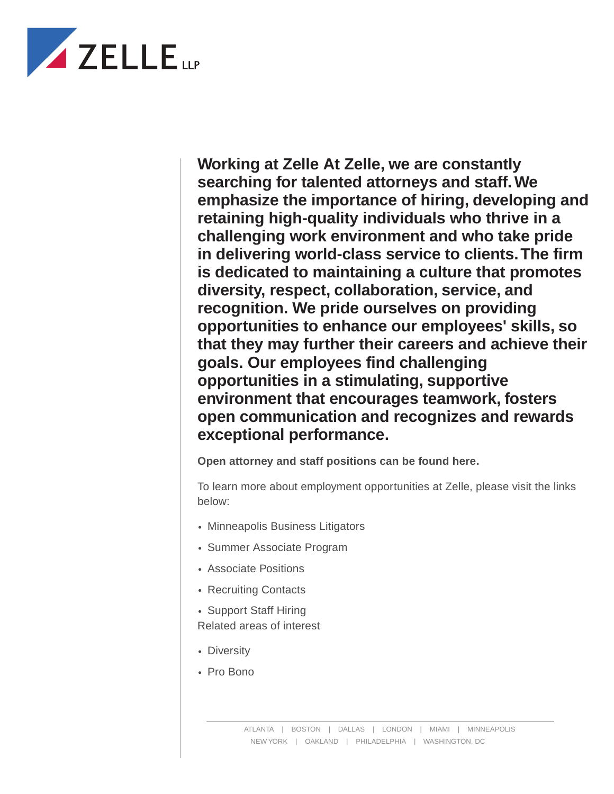

**Working at Zelle At Zelle, we are constantly searching for talented attorneys and staff. We emphasize the importance of hiring, developing and retaining high-quality individuals who thrive in a challenging work environment and who take pride in delivering world-class service to clients. The firm is dedicated to maintaining a culture that promotes diversity, respect, collaboration, service, and recognition. We pride ourselves on providing opportunities to enhance our employees' skills, so that they may further their careers and achieve their goals. Our employees find challenging opportunities in a stimulating, supportive environment that encourages teamwork, fosters open communication and recognizes and rewards exceptional performance.**

**Open attorney and staff positions can be found here.**

To learn more about employment opportunities at Zelle, please visit the links below:

- Minneapolis Business Litigators
- Summer Associate Program
- Associate Positions
- Recruiting Contacts
- Support Staff Hiring

Related areas of interest

- Diversity
- Pro Bono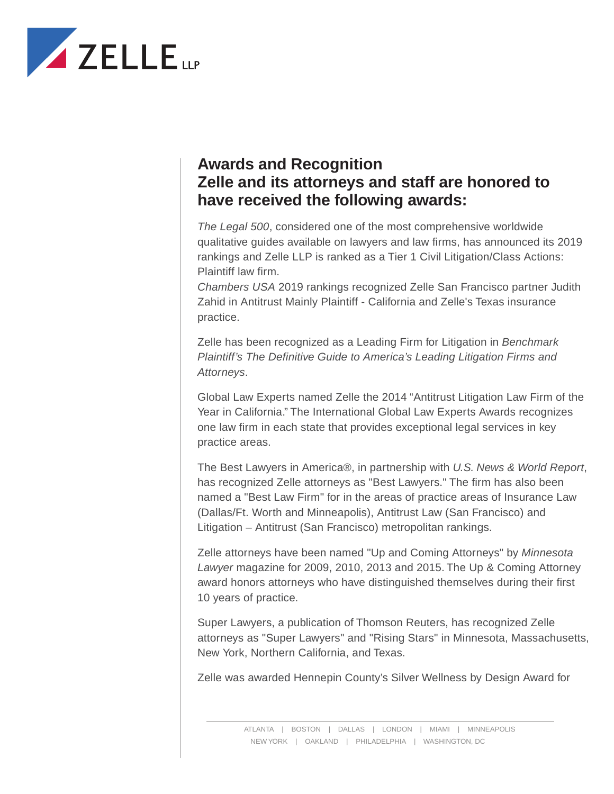

## **Awards and Recognition Zelle and its attorneys and staff are honored to have received the following awards:**

*The Legal 500*, considered one of the most comprehensive worldwide qualitative guides available on lawyers and law firms, has announced its 2019 rankings and Zelle LLP is ranked as a Tier 1 Civil Litigation/Class Actions: Plaintiff law firm.

*Chambers USA* 2019 rankings recognized Zelle San Francisco partner Judith Zahid in Antitrust Mainly Plaintiff - California and Zelle's Texas insurance practice.

Zelle has been recognized as a Leading Firm for Litigation in *Benchmark Plaintiff's The Definitive Guide to America's Leading Litigation Firms and Attorneys*.

Global Law Experts named Zelle the 2014 "Antitrust Litigation Law Firm of the Year in California." The International Global Law Experts Awards recognizes one law firm in each state that provides exceptional legal services in key practice areas.

The Best Lawyers in America®, in partnership with *U.S. News & World Report*, has recognized Zelle attorneys as "Best Lawyers." The firm has also been named a "Best Law Firm" for in the areas of practice areas of Insurance Law (Dallas/Ft. Worth and Minneapolis), Antitrust Law (San Francisco) and Litigation – Antitrust (San Francisco) metropolitan rankings.

Zelle attorneys have been named "Up and Coming Attorneys" by *Minnesota Lawyer* magazine for 2009, 2010, 2013 and 2015. The Up & Coming Attorney award honors attorneys who have distinguished themselves during their first 10 years of practice.

Super Lawyers, a publication of Thomson Reuters, has recognized Zelle attorneys as "Super Lawyers" and "Rising Stars" in Minnesota, Massachusetts, New York, Northern California, and Texas.

Zelle was awarded Hennepin County's Silver Wellness by Design Award for